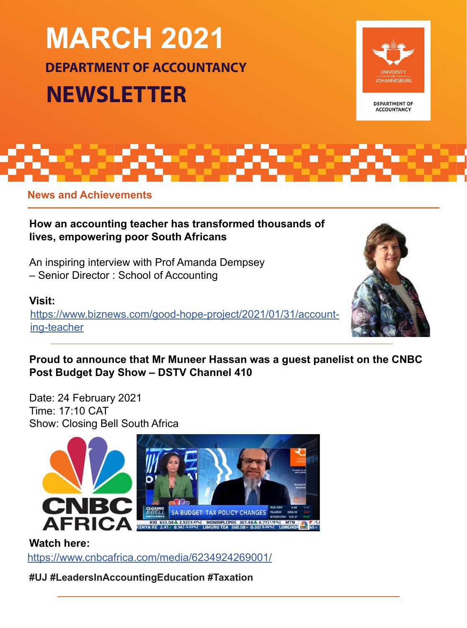# **MARCH 2021 DEPARTMENT OF ACCOUNTANCY NEWSLETTER**



**DEPARTMENT OF ACCOUNTANCY** 

**News and Achievements**

**How an accounting teacher has transformed thousands of lives, empowering poor South Africans**

An inspiring interview with Prof Amanda Dempsey – Senior Director : School of Accounting

# **Visit:**

[https://www.biznews.com/good-hope-project/2021/01/31/account](http://https://www.biznews.com/good-hope-project/2021/01/31/accounting-teacher)[ing-teacher](https://www.biznews.com/good-hope-project/2021/01/31/accounting-teacher)



# **Proud to announce that Mr Muneer Hassan was a guest panelist on the CNBC Post Budget Day Show – DSTV Channel 410**

Date: 24 February 2021 Time: 17:10 CAT Show: Closing Bell South Africa



# **Watch here:**

[https://www.cnbcafrica.com/media/6234924269001/](https://www.cnbcafrica.com/media/6234924269001/
)

**#UJ #LeadersInAccountingEducation #Taxation**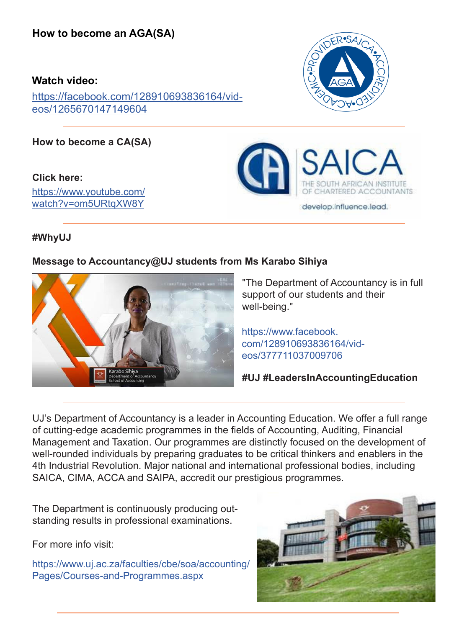#### **Watch video:**

[https://facebook.com/128910693836164/vid](https://facebook.com/128910693836164/videos/1265670147149604)[eos/1265670147149604](https://www.facebook.com/watch/?v=1265670147149604)

**How to become a CA(SA)**

**Click here:**  [https://www.youtube.com/](https://www.youtube.com/watch?v=om5URtqXW8Y) [watch?v=om5URtqXW8Y](https://www.youtube.com/watch?v=om5URtqXW8Y)





**#WhyUJ**

#### **Message to Accountancy@UJ students from Ms Karabo Sihiya**



"The Department of Accountancy is in full support of our students and their well-being."

https://www.facebook. [com/128910693836164/vid](https://www.facebook.com/watch/?v=377711037009706)eos/377711037009706

**#UJ #LeadersInAccountingEducation**

UJ's Department of Accountancy is a leader in Accounting Education. We offer a full range of cutting-edge academic programmes in the fields of Accounting, Auditing, Financial Management and Taxation. Our programmes are distinctly focused on the development of well-rounded individuals by preparing graduates to be critical thinkers and enablers in the 4th Industrial Revolution. Major national and international professional bodies, including SAICA, CIMA, ACCA and SAIPA, accredit our prestigious programmes.

The Department is continuously producing outstanding results in professional examinations.

For more info visit:

[https://www.uj.ac.za/faculties/cbe/soa/accounting/](https://www.uj.ac.za/faculties/cbe/soa/accounting/Pages/Courses-and-Programmes.aspx) Pages/Courses-and-Programmes.aspx

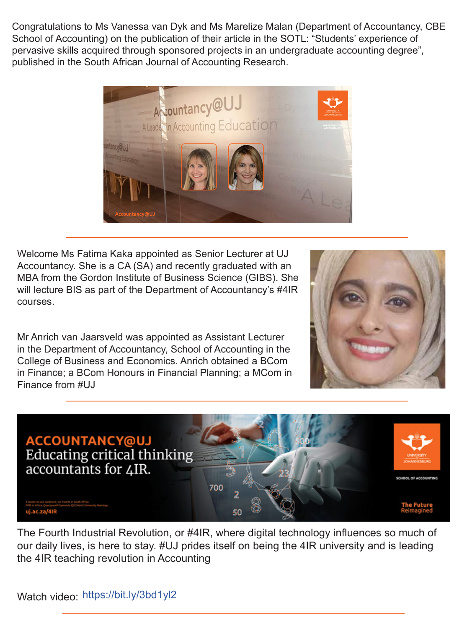Congratulations to Ms Vanessa van Dyk and Ms Marelize Malan (Department of Accountancy, CBE School of Accounting) on the publication of their article in the SOTL: "Students' experience of pervasive skills acquired through sponsored projects in an undergraduate accounting degree", published in the South African Journal of Accounting Research.



Welcome Ms Fatima Kaka appointed as Senior Lecturer at UJ Accountancy. She is a CA (SA) and recently graduated with an MBA from the Gordon Institute of Business Science (GIBS). She will lecture BIS as part of the Department of Accountancy's #4IR courses.

Mr Anrich van Jaarsveld was appointed as Assistant Lecturer in the Department of Accountancy, School of Accounting in the College of Business and Economics. Anrich obtained a BCom in Finance; a BCom Honours in Financial Planning; a MCom in Finance from #UJ





The Fourth Industrial Revolution, or #4IR, where digital technology influences so much of our daily lives, is here to stay. #UJ prides itself on being the 4IR university and is leading the 4IR teaching revolution in Accounting